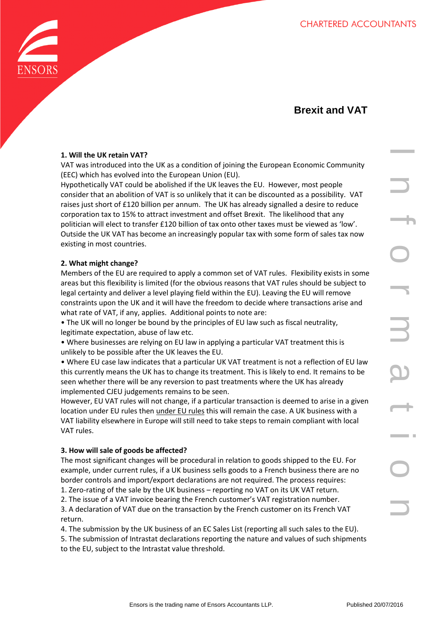

# **Brexit and VAT**

## **1. Will the UK retain VAT?**

VAT was introduced into the UK as a condition of joining the European Economic Community (EEC) which has evolved into the European Union (EU).

VATE<br>
we direct be UK as a condition of joining the European Economic Community<br>
wind the shofshead if the UK leaves the EU. However, most people<br>
violet be bolished if the UK leaves the EU. However, most people<br>
20/016 I Hypothetically VAT could be abolished if the UK leaves the EU. However, most people consider that an abolition of VAT is so unlikely that it can be discounted as a possibility. VAT raises just short of £120 billion per annum. The UK has already signalled a desire to reduce corporation tax to 15% to attract investment and offset Brexit. The likelihood that any politician will elect to transfer £120 billion of tax onto other taxes must be viewed as 'low'. Outside the UK VAT has become an increasingly popular tax with some form of sales tax now existing in most countries.

## **2. What might change?**

Members of the EU are required to apply a common set of VAT rules. Flexibility exists in some areas but this flexibility is limited (for the obvious reasons that VAT rules should be subject to legal certainty and deliver a level playing field within the EU). Leaving the EU will remove constraints upon the UK and it will have the freedom to decide where transactions arise and what rate of VAT, if any, applies. Additional points to note are:

• The UK will no longer be bound by the principles of EU law such as fiscal neutrality, legitimate expectation, abuse of law etc.

• Where businesses are relying on EU law in applying a particular VAT treatment this is unlikely to be possible after the UK leaves the EU.

• Where EU case law indicates that a particular UK VAT treatment is not a reflection of EU law this currently means the UK has to change its treatment. This is likely to end. It remains to be seen whether there will be any reversion to past treatments where the UK has already implemented CJEU judgements remains to be seen.

However, EU VAT rules will not change, if a particular transaction is deemed to arise in a given location under EU rules then under EU rules this will remain the case. A UK business with a VAT liability elsewhere in Europe will still need to take steps to remain compliant with local VAT rules.

## **3. How will sale of goods be affected?**

The most significant changes will be procedural in relation to goods shipped to the EU. For example, under current rules, if a UK business sells goods to a French business there are no border controls and import/export declarations are not required. The process requires:

1. Zero-rating of the sale by the UK business – reporting no VAT on its UK VAT return.

2. The issue of a VAT invoice bearing the French customer's VAT registration number. 3. A declaration of VAT due on the transaction by the French customer on its French VAT return.

4. The submission by the UK business of an EC Sales List (reporting all such sales to the EU).

5. The submission of Intrastat declarations reporting the nature and values of such shipments to the EU, subject to the Intrastat value threshold.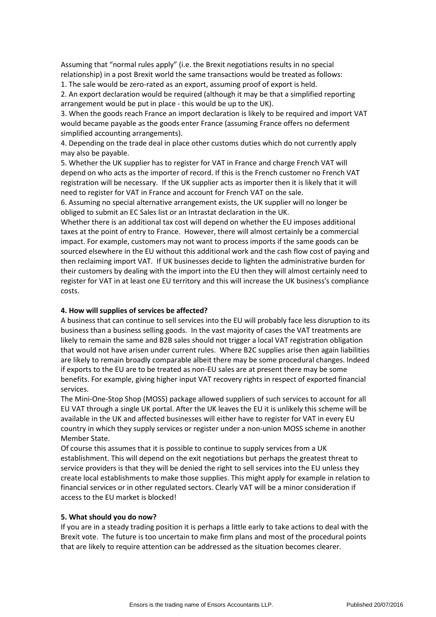Assuming that "normal rules apply" (i.e. the Brexit negotiations results in no special relationship) in a post Brexit world the same transactions would be treated as follows:

1. The sale would be zero-rated as an export, assuming proof of export is held.

2. An export declaration would be required (although it may be that a simplified reporting arrangement would be put in place - this would be up to the UK).

3. When the goods reach France an import declaration is likely to be required and import VAT would became payable as the goods enter France (assuming France offers no deferment simplified accounting arrangements).

4. Depending on the trade deal in place other customs duties which do not currently apply may also be payable.

5. Whether the UK supplier has to register for VAT in France and charge French VAT will depend on who acts as the importer of record. If this is the French customer no French VAT registration will be necessary. If the UK supplier acts as importer then it is likely that it will need to register for VAT in France and account for French VAT on the sale.

6. Assuming no special alternative arrangement exists, the UK supplier will no longer be obliged to submit an EC Sales list or an Intrastat declaration in the UK.

Whether there is an additional tax cost will depend on whether the EU imposes additional taxes at the point of entry to France. However, there will almost certainly be a commercial impact. For example, customers may not want to process imports if the same goods can be sourced elsewhere in the EU without this additional work and the cash flow cost of paying and then reclaiming import VAT. If UK businesses decide to lighten the administrative burden for their customers by dealing with the import into the EU then they will almost certainly need to register for VAT in at least one EU territory and this will increase the UK business's compliance costs.

#### **4. How will supplies of services be affected?**

A business that can continue to sell services into the EU will probably face less disruption to its business than a business selling goods. In the vast majority of cases the VAT treatments are likely to remain the same and B2B sales should not trigger a local VAT registration obligation that would not have arisen under current rules. Where B2C supplies arise then again liabilities are likely to remain broadly comparable albeit there may be some procedural changes. Indeed if exports to the EU are to be treated as non-EU sales are at present there may be some benefits. For example, giving higher input VAT recovery rights in respect of exported financial services.

The Mini-One-Stop Shop (MOSS) package allowed suppliers of such services to account for all EU VAT through a single UK portal. After the UK leaves the EU it is unlikely this scheme will be available in the UK and affected businesses will either have to register for VAT in every EU country in which they supply services or register under a non-union MOSS scheme in another Member State.

Of course this assumes that it is possible to continue to supply services from a UK establishment. This will depend on the exit negotiations but perhaps the greatest threat to service providers is that they will be denied the right to sell services into the EU unless they create local establishments to make those supplies. This might apply for example in relation to financial services or in other regulated sectors. Clearly VAT will be a minor consideration if access to the EU market is blocked!

#### **5. What should you do now?**

If you are in a steady trading position it is perhaps a little early to take actions to deal with the Brexit vote. The future is too uncertain to make firm plans and most of the procedural points that are likely to require attention can be addressed as the situation becomes clearer.